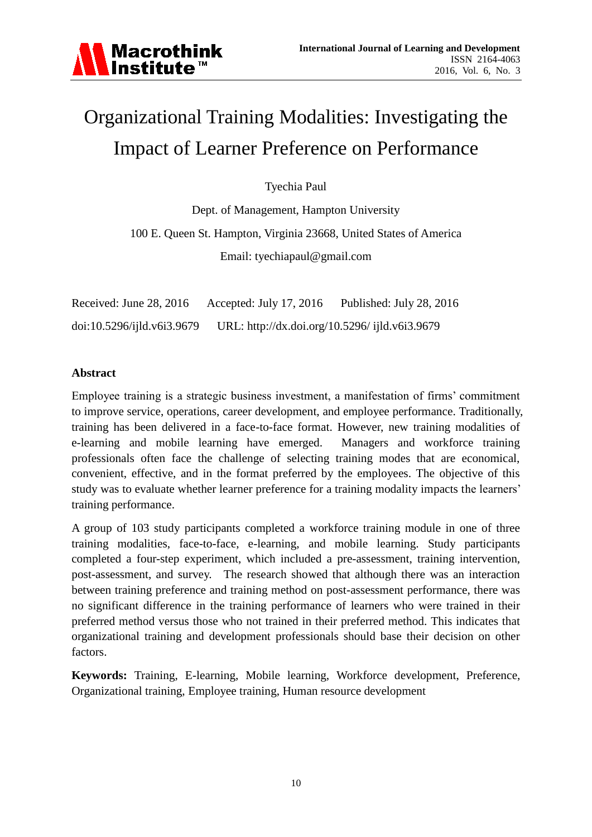

# Organizational Training Modalities: Investigating the Impact of Learner Preference on Performance

Tyechia Paul

Dept. of Management, Hampton University 100 E. Queen St. Hampton, Virginia 23668, United States of America Email: tyechiapaul@gmail.com

| Received: June 28, 2016    | Accepted: July 17, 2016                        | Published: July 28, 2016 |
|----------------------------|------------------------------------------------|--------------------------|
| doi:10.5296/ijld.v6i3.9679 | URL: http://dx.doi.org/10.5296/ ijld.v6i3.9679 |                          |

#### **Abstract**

Employee training is a strategic business investment, a manifestation of firms' commitment to improve service, operations, career development, and employee performance. Traditionally, training has been delivered in a face-to-face format. However, new training modalities of e-learning and mobile learning have emerged. Managers and workforce training professionals often face the challenge of selecting training modes that are economical, convenient, effective, and in the format preferred by the employees. The objective of this study was to evaluate whether learner preference for a training modality impacts the learners' training performance.

A group of 103 study participants completed a workforce training module in one of three training modalities, face-to-face, e-learning, and mobile learning. Study participants completed a four-step experiment, which included a pre-assessment, training intervention, post-assessment, and survey. The research showed that although there was an interaction between training preference and training method on post-assessment performance, there was no significant difference in the training performance of learners who were trained in their preferred method versus those who not trained in their preferred method. This indicates that organizational training and development professionals should base their decision on other factors.

**Keywords:** Training, E-learning, Mobile learning, Workforce development, Preference, Organizational training, Employee training, Human resource development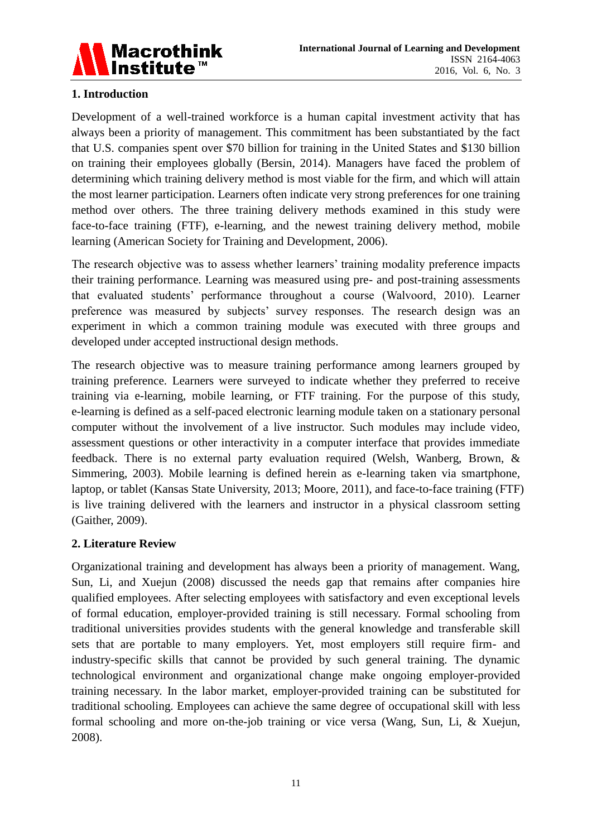

# **1. Introduction**

Development of a well-trained workforce is a human capital investment activity that has always been a priority of management. This commitment has been substantiated by the fact that U.S. companies spent over \$70 billion for training in the United States and \$130 billion on training their employees globally (Bersin, 2014). Managers have faced the problem of determining which training delivery method is most viable for the firm, and which will attain the most learner participation. Learners often indicate very strong preferences for one training method over others. The three training delivery methods examined in this study were face-to-face training (FTF), e-learning, and the newest training delivery method, mobile learning (American Society for Training and Development, 2006).

The research objective was to assess whether learners' training modality preference impacts their training performance. Learning was measured using pre- and post-training assessments that evaluated students' performance throughout a course (Walvoord, 2010). Learner preference was measured by subjects' survey responses. The research design was an experiment in which a common training module was executed with three groups and developed under accepted instructional design methods.

The research objective was to measure training performance among learners grouped by training preference. Learners were surveyed to indicate whether they preferred to receive training via e-learning, mobile learning, or FTF training. For the purpose of this study, e-learning is defined as a self-paced electronic learning module taken on a stationary personal computer without the involvement of a live instructor. Such modules may include video, assessment questions or other interactivity in a computer interface that provides immediate feedback. There is no external party evaluation required (Welsh, Wanberg, Brown, & Simmering, 2003). Mobile learning is defined herein as e-learning taken via smartphone, laptop, or tablet (Kansas State University, 2013; Moore, 2011), and face-to-face training (FTF) is live training delivered with the learners and instructor in a physical classroom setting (Gaither, 2009).

#### **2. Literature Review**

Organizational training and development has always been a priority of management. Wang, Sun, Li, and Xuejun (2008) discussed the needs gap that remains after companies hire qualified employees. After selecting employees with satisfactory and even exceptional levels of formal education, employer-provided training is still necessary. Formal schooling from traditional universities provides students with the general knowledge and transferable skill sets that are portable to many employers. Yet, most employers still require firm- and industry-specific skills that cannot be provided by such general training. The dynamic technological environment and organizational change make ongoing employer-provided training necessary. In the labor market, employer-provided training can be substituted for traditional schooling. Employees can achieve the same degree of occupational skill with less formal schooling and more on-the-job training or vice versa (Wang, Sun, Li, & Xuejun, 2008).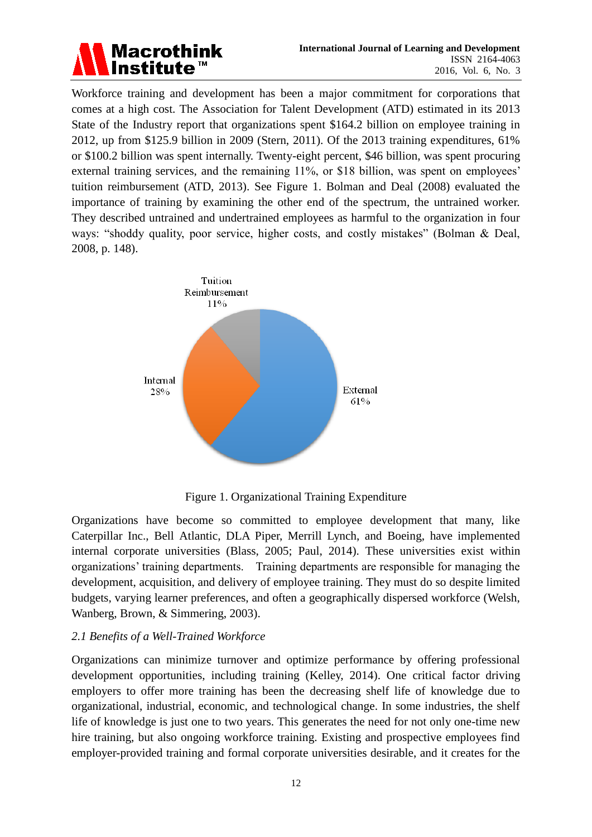

Workforce training and development has been a major commitment for corporations that comes at a high cost. The Association for Talent Development (ATD) estimated in its 2013 State of the Industry report that organizations spent \$164.2 billion on employee training in 2012, up from \$125.9 billion in 2009 (Stern, 2011). Of the 2013 training expenditures, 61% or \$100.2 billion was spent internally. Twenty-eight percent, \$46 billion, was spent procuring external training services, and the remaining 11%, or \$18 billion, was spent on employees' tuition reimbursement (ATD, 2013). See Figure 1. Bolman and Deal (2008) evaluated the importance of training by examining the other end of the spectrum, the untrained worker. They described untrained and undertrained employees as harmful to the organization in four ways: "shoddy quality, poor service, higher costs, and costly mistakes" (Bolman & Deal, 2008, p. 148).



Figure 1. Organizational Training Expenditure

Organizations have become so committed to employee development that many, like Caterpillar Inc., Bell Atlantic, DLA Piper, Merrill Lynch, and Boeing, have implemented internal corporate universities (Blass, 2005; Paul, 2014). These universities exist within organizations' training departments. Training departments are responsible for managing the development, acquisition, and delivery of employee training. They must do so despite limited budgets, varying learner preferences, and often a geographically dispersed workforce (Welsh, Wanberg, Brown, & Simmering, 2003).

#### *2.1 Benefits of a Well-Trained Workforce*

Organizations can minimize turnover and optimize performance by offering professional development opportunities, including training (Kelley, 2014). One critical factor driving employers to offer more training has been the decreasing shelf life of knowledge due to organizational, industrial, economic, and technological change. In some industries, the shelf life of knowledge is just one to two years. This generates the need for not only one-time new hire training, but also ongoing workforce training. Existing and prospective employees find employer-provided training and formal corporate universities desirable, and it creates for the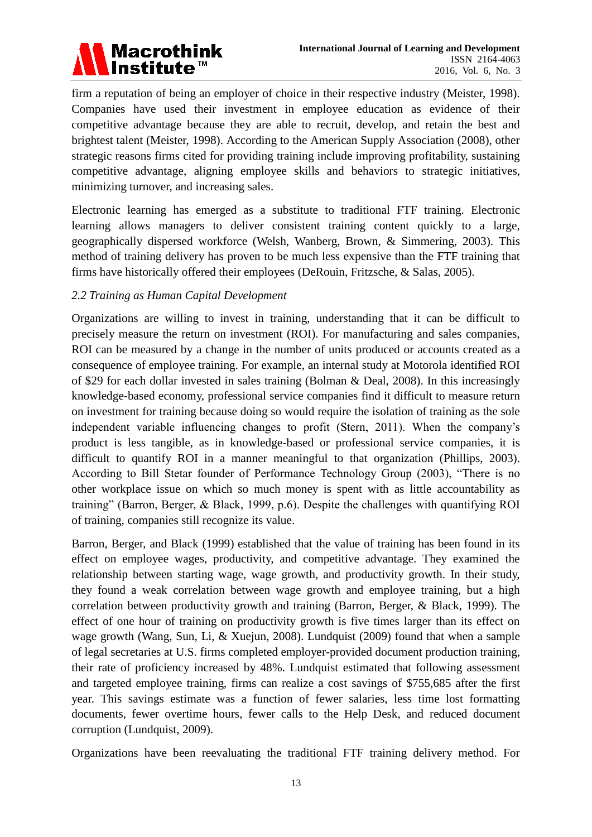

firm a reputation of being an employer of choice in their respective industry (Meister, 1998). Companies have used their investment in employee education as evidence of their competitive advantage because they are able to recruit, develop, and retain the best and brightest talent (Meister, 1998). According to the American Supply Association (2008), other strategic reasons firms cited for providing training include improving profitability, sustaining competitive advantage, aligning employee skills and behaviors to strategic initiatives, minimizing turnover, and increasing sales.

Electronic learning has emerged as a substitute to traditional FTF training. Electronic learning allows managers to deliver consistent training content quickly to a large, geographically dispersed workforce (Welsh, Wanberg, Brown, & Simmering, 2003). This method of training delivery has proven to be much less expensive than the FTF training that firms have historically offered their employees (DeRouin, Fritzsche, & Salas, 2005).

#### *2.2 Training as Human Capital Development*

Organizations are willing to invest in training, understanding that it can be difficult to precisely measure the return on investment (ROI). For manufacturing and sales companies, ROI can be measured by a change in the number of units produced or accounts created as a consequence of employee training. For example, an internal study at Motorola identified ROI of \$29 for each dollar invested in sales training (Bolman & Deal, 2008). In this increasingly knowledge-based economy, professional service companies find it difficult to measure return on investment for training because doing so would require the isolation of training as the sole independent variable influencing changes to profit (Stern, 2011). When the company's product is less tangible, as in knowledge-based or professional service companies, it is difficult to quantify ROI in a manner meaningful to that organization (Phillips, 2003). According to Bill Stetar founder of Performance Technology Group (2003), "There is no other workplace issue on which so much money is spent with as little accountability as training" (Barron, Berger, & Black, 1999, p.6). Despite the challenges with quantifying ROI of training, companies still recognize its value.

Barron, Berger, and Black (1999) established that the value of training has been found in its effect on employee wages, productivity, and competitive advantage. They examined the relationship between starting wage, wage growth, and productivity growth. In their study, they found a weak correlation between wage growth and employee training, but a high correlation between productivity growth and training (Barron, Berger, & Black, 1999). The effect of one hour of training on productivity growth is five times larger than its effect on wage growth (Wang, Sun, Li, & Xuejun, 2008). Lundquist (2009) found that when a sample of legal secretaries at U.S. firms completed employer-provided document production training, their rate of proficiency increased by 48%. Lundquist estimated that following assessment and targeted employee training, firms can realize a cost savings of \$755,685 after the first year. This savings estimate was a function of fewer salaries, less time lost formatting documents, fewer overtime hours, fewer calls to the Help Desk, and reduced document corruption (Lundquist, 2009).

Organizations have been reevaluating the traditional FTF training delivery method. For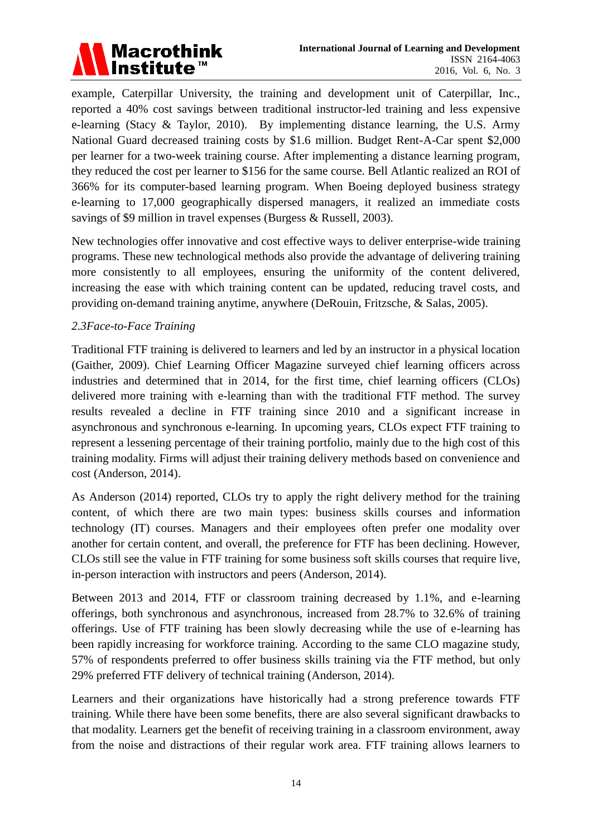

example, Caterpillar University, the training and development unit of Caterpillar, Inc., reported a 40% cost savings between traditional instructor-led training and less expensive e-learning (Stacy & Taylor, 2010). By implementing distance learning, the U.S. Army National Guard decreased training costs by \$1.6 million. Budget Rent-A-Car spent \$2,000 per learner for a two-week training course. After implementing a distance learning program, they reduced the cost per learner to \$156 for the same course. Bell Atlantic realized an ROI of 366% for its computer-based learning program. When Boeing deployed business strategy e-learning to 17,000 geographically dispersed managers, it realized an immediate costs savings of \$9 million in travel expenses (Burgess & Russell, 2003).

New technologies offer innovative and cost effective ways to deliver enterprise-wide training programs. These new technological methods also provide the advantage of delivering training more consistently to all employees, ensuring the uniformity of the content delivered, increasing the ease with which training content can be updated, reducing travel costs, and providing on-demand training anytime, anywhere (DeRouin, Fritzsche, & Salas, 2005).

#### *2.3Face-to-Face Training*

Traditional FTF training is delivered to learners and led by an instructor in a physical location (Gaither, 2009). Chief Learning Officer Magazine surveyed chief learning officers across industries and determined that in 2014, for the first time, chief learning officers (CLOs) delivered more training with e-learning than with the traditional FTF method. The survey results revealed a decline in FTF training since 2010 and a significant increase in asynchronous and synchronous e-learning. In upcoming years, CLOs expect FTF training to represent a lessening percentage of their training portfolio, mainly due to the high cost of this training modality. Firms will adjust their training delivery methods based on convenience and cost (Anderson, 2014).

As Anderson (2014) reported, CLOs try to apply the right delivery method for the training content, of which there are two main types: business skills courses and information technology (IT) courses. Managers and their employees often prefer one modality over another for certain content, and overall, the preference for FTF has been declining. However, CLOs still see the value in FTF training for some business soft skills courses that require live, in-person interaction with instructors and peers (Anderson, 2014).

Between 2013 and 2014, FTF or classroom training decreased by 1.1%, and e-learning offerings, both synchronous and asynchronous, increased from 28.7% to 32.6% of training offerings. Use of FTF training has been slowly decreasing while the use of e-learning has been rapidly increasing for workforce training. According to the same CLO magazine study, 57% of respondents preferred to offer business skills training via the FTF method, but only 29% preferred FTF delivery of technical training (Anderson, 2014).

Learners and their organizations have historically had a strong preference towards FTF training. While there have been some benefits, there are also several significant drawbacks to that modality. Learners get the benefit of receiving training in a classroom environment, away from the noise and distractions of their regular work area. FTF training allows learners to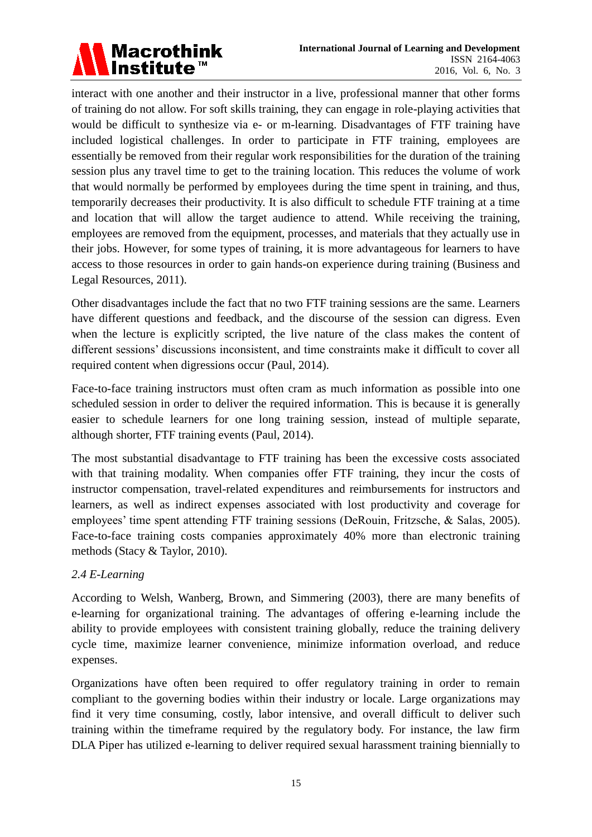

interact with one another and their instructor in a live, professional manner that other forms of training do not allow. For soft skills training, they can engage in role-playing activities that would be difficult to synthesize via e- or m-learning. Disadvantages of FTF training have included logistical challenges. In order to participate in FTF training, employees are essentially be removed from their regular work responsibilities for the duration of the training session plus any travel time to get to the training location. This reduces the volume of work that would normally be performed by employees during the time spent in training, and thus, temporarily decreases their productivity. It is also difficult to schedule FTF training at a time and location that will allow the target audience to attend. While receiving the training, employees are removed from the equipment, processes, and materials that they actually use in their jobs. However, for some types of training, it is more advantageous for learners to have access to those resources in order to gain hands-on experience during training (Business and Legal Resources, 2011).

Other disadvantages include the fact that no two FTF training sessions are the same. Learners have different questions and feedback, and the discourse of the session can digress. Even when the lecture is explicitly scripted, the live nature of the class makes the content of different sessions' discussions inconsistent, and time constraints make it difficult to cover all required content when digressions occur (Paul, 2014).

Face-to-face training instructors must often cram as much information as possible into one scheduled session in order to deliver the required information. This is because it is generally easier to schedule learners for one long training session, instead of multiple separate, although shorter, FTF training events (Paul, 2014).

The most substantial disadvantage to FTF training has been the excessive costs associated with that training modality. When companies offer FTF training, they incur the costs of instructor compensation, travel-related expenditures and reimbursements for instructors and learners, as well as indirect expenses associated with lost productivity and coverage for employees' time spent attending FTF training sessions (DeRouin, Fritzsche, & Salas, 2005). Face-to-face training costs companies approximately 40% more than electronic training methods (Stacy & Taylor, 2010).

#### *2.4 E-Learning*

According to Welsh, Wanberg, Brown, and Simmering (2003), there are many benefits of e-learning for organizational training. The advantages of offering e-learning include the ability to provide employees with consistent training globally, reduce the training delivery cycle time, maximize learner convenience, minimize information overload, and reduce expenses.

Organizations have often been required to offer regulatory training in order to remain compliant to the governing bodies within their industry or locale. Large organizations may find it very time consuming, costly, labor intensive, and overall difficult to deliver such training within the timeframe required by the regulatory body. For instance, the law firm DLA Piper has utilized e-learning to deliver required sexual harassment training biennially to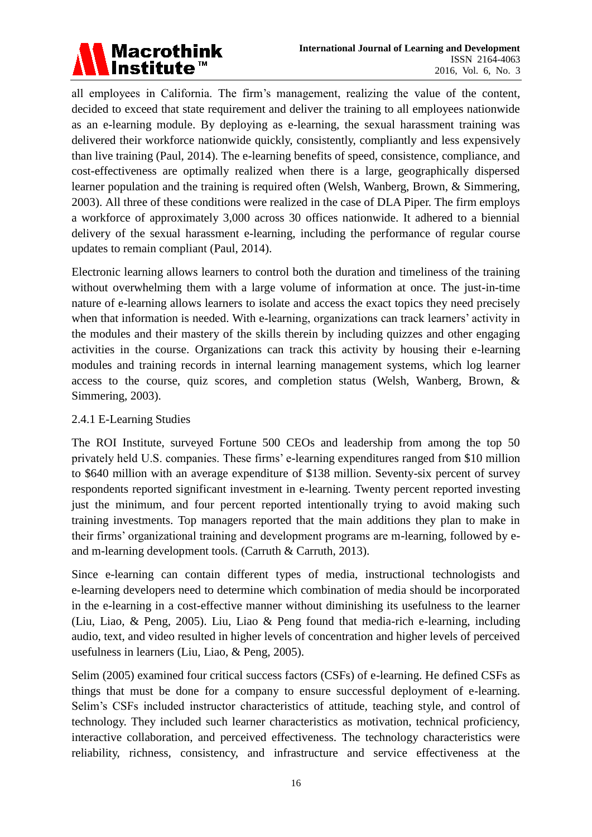

all employees in California. The firm's management, realizing the value of the content, decided to exceed that state requirement and deliver the training to all employees nationwide as an e-learning module. By deploying as e-learning, the sexual harassment training was delivered their workforce nationwide quickly, consistently, compliantly and less expensively than live training (Paul, 2014). The e-learning benefits of speed, consistence, compliance, and cost-effectiveness are optimally realized when there is a large, geographically dispersed learner population and the training is required often (Welsh, Wanberg, Brown, & Simmering, 2003). All three of these conditions were realized in the case of DLA Piper. The firm employs a workforce of approximately 3,000 across 30 offices nationwide. It adhered to a biennial delivery of the sexual harassment e-learning, including the performance of regular course updates to remain compliant (Paul, 2014).

Electronic learning allows learners to control both the duration and timeliness of the training without overwhelming them with a large volume of information at once. The just-in-time nature of e-learning allows learners to isolate and access the exact topics they need precisely when that information is needed. With e-learning, organizations can track learners' activity in the modules and their mastery of the skills therein by including quizzes and other engaging activities in the course. Organizations can track this activity by housing their e-learning modules and training records in internal learning management systems, which log learner access to the course, quiz scores, and completion status (Welsh, Wanberg, Brown, & Simmering, 2003).

#### 2.4.1 E-Learning Studies

The ROI Institute, surveyed Fortune 500 CEOs and leadership from among the top 50 privately held U.S. companies. These firms' e-learning expenditures ranged from \$10 million to \$640 million with an average expenditure of \$138 million. Seventy-six percent of survey respondents reported significant investment in e-learning. Twenty percent reported investing just the minimum, and four percent reported intentionally trying to avoid making such training investments. Top managers reported that the main additions they plan to make in their firms' organizational training and development programs are m-learning, followed by eand m-learning development tools. (Carruth & Carruth, 2013).

Since e-learning can contain different types of media, instructional technologists and e-learning developers need to determine which combination of media should be incorporated in the e-learning in a cost-effective manner without diminishing its usefulness to the learner (Liu, Liao, & Peng, 2005). Liu, Liao & Peng found that media-rich e-learning, including audio, text, and video resulted in higher levels of concentration and higher levels of perceived usefulness in learners (Liu, Liao, & Peng, 2005).

Selim (2005) examined four critical success factors (CSFs) of e-learning. He defined CSFs as things that must be done for a company to ensure successful deployment of e-learning. Selim's CSFs included instructor characteristics of attitude, teaching style, and control of technology. They included such learner characteristics as motivation, technical proficiency, interactive collaboration, and perceived effectiveness. The technology characteristics were reliability, richness, consistency, and infrastructure and service effectiveness at the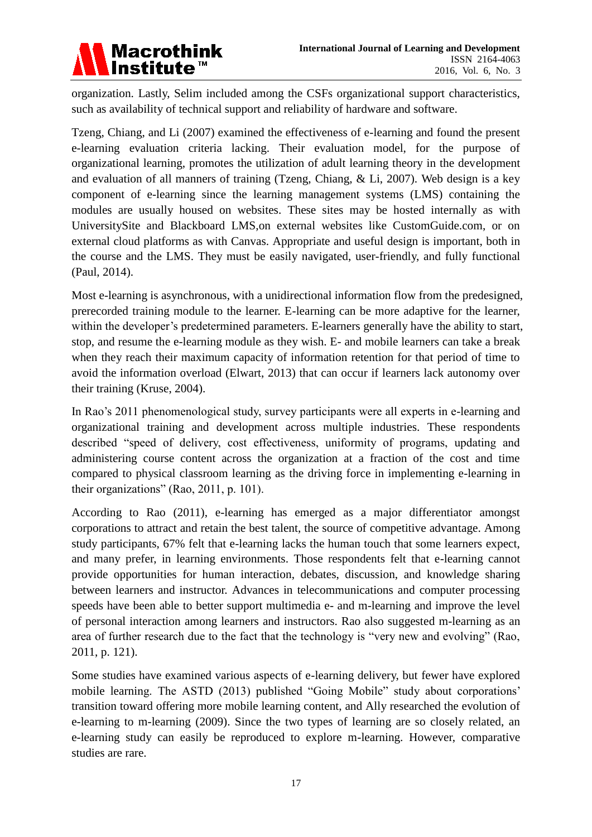

organization. Lastly, Selim included among the CSFs organizational support characteristics, such as availability of technical support and reliability of hardware and software.

Tzeng, Chiang, and Li (2007) examined the effectiveness of e-learning and found the present e-learning evaluation criteria lacking. Their evaluation model, for the purpose of organizational learning, promotes the utilization of adult learning theory in the development and evaluation of all manners of training (Tzeng, Chiang, & Li, 2007). Web design is a key component of e-learning since the learning management systems (LMS) containing the modules are usually housed on websites. These sites may be hosted internally as with UniversitySite and Blackboard LMS,on external websites like CustomGuide.com, or on external cloud platforms as with Canvas. Appropriate and useful design is important, both in the course and the LMS. They must be easily navigated, user-friendly, and fully functional (Paul, 2014).

Most e-learning is asynchronous, with a unidirectional information flow from the predesigned, prerecorded training module to the learner. E-learning can be more adaptive for the learner, within the developer's predetermined parameters. E-learners generally have the ability to start, stop, and resume the e-learning module as they wish. E- and mobile learners can take a break when they reach their maximum capacity of information retention for that period of time to avoid the information overload (Elwart, 2013) that can occur if learners lack autonomy over their training (Kruse, 2004).

In Rao's 2011 phenomenological study, survey participants were all experts in e-learning and organizational training and development across multiple industries. These respondents described "speed of delivery, cost effectiveness, uniformity of programs, updating and administering course content across the organization at a fraction of the cost and time compared to physical classroom learning as the driving force in implementing e-learning in their organizations" (Rao, 2011, p. 101).

According to Rao (2011), e-learning has emerged as a major differentiator amongst corporations to attract and retain the best talent, the source of competitive advantage. Among study participants, 67% felt that e-learning lacks the human touch that some learners expect, and many prefer, in learning environments. Those respondents felt that e-learning cannot provide opportunities for human interaction, debates, discussion, and knowledge sharing between learners and instructor. Advances in telecommunications and computer processing speeds have been able to better support multimedia e- and m-learning and improve the level of personal interaction among learners and instructors. Rao also suggested m-learning as an area of further research due to the fact that the technology is "very new and evolving" (Rao, 2011, p. 121).

Some studies have examined various aspects of e-learning delivery, but fewer have explored mobile learning. The ASTD (2013) published "Going Mobile" study about corporations' transition toward offering more mobile learning content, and Ally researched the evolution of e-learning to m-learning (2009). Since the two types of learning are so closely related, an e-learning study can easily be reproduced to explore m-learning. However, comparative studies are rare.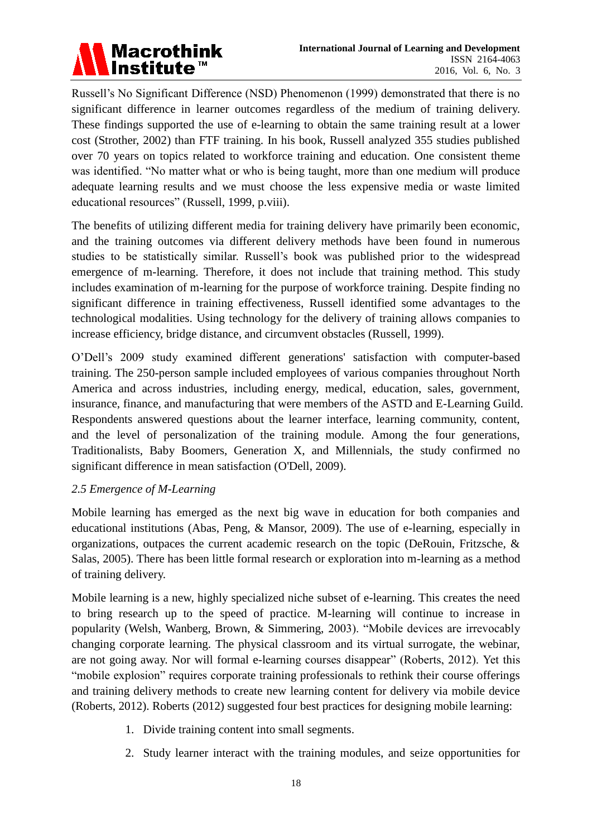

Russell's No Significant Difference (NSD) Phenomenon (1999) demonstrated that there is no significant difference in learner outcomes regardless of the medium of training delivery. These findings supported the use of e-learning to obtain the same training result at a lower cost (Strother, 2002) than FTF training. In his book, Russell analyzed 355 studies published over 70 years on topics related to workforce training and education. One consistent theme was identified. "No matter what or who is being taught, more than one medium will produce adequate learning results and we must choose the less expensive media or waste limited educational resources" (Russell, 1999, p.viii).

The benefits of utilizing different media for training delivery have primarily been economic, and the training outcomes via different delivery methods have been found in numerous studies to be statistically similar. Russell's book was published prior to the widespread emergence of m-learning. Therefore, it does not include that training method. This study includes examination of m-learning for the purpose of workforce training. Despite finding no significant difference in training effectiveness, Russell identified some advantages to the technological modalities. Using technology for the delivery of training allows companies to increase efficiency, bridge distance, and circumvent obstacles (Russell, 1999).

O'Dell's 2009 study examined different generations' satisfaction with computer-based training. The 250-person sample included employees of various companies throughout North America and across industries, including energy, medical, education, sales, government, insurance, finance, and manufacturing that were members of the ASTD and E-Learning Guild. Respondents answered questions about the learner interface, learning community, content, and the level of personalization of the training module. Among the four generations, Traditionalists, Baby Boomers, Generation X, and Millennials, the study confirmed no significant difference in mean satisfaction (O'Dell, 2009).

#### *2.5 Emergence of M-Learning*

Mobile learning has emerged as the next big wave in education for both companies and educational institutions (Abas, Peng, & Mansor, 2009). The use of e-learning, especially in organizations, outpaces the current academic research on the topic (DeRouin, Fritzsche, & Salas, 2005). There has been little formal research or exploration into m-learning as a method of training delivery.

Mobile learning is a new, highly specialized niche subset of e-learning. This creates the need to bring research up to the speed of practice. M-learning will continue to increase in popularity (Welsh, Wanberg, Brown, & Simmering, 2003). "Mobile devices are irrevocably changing corporate learning. The physical classroom and its virtual surrogate, the webinar, are not going away. Nor will formal e-learning courses disappear" (Roberts, 2012). Yet this "mobile explosion" requires corporate training professionals to rethink their course offerings and training delivery methods to create new learning content for delivery via mobile device (Roberts, 2012). Roberts (2012) suggested four best practices for designing mobile learning:

- 1. Divide training content into small segments.
- 2. Study learner interact with the training modules, and seize opportunities for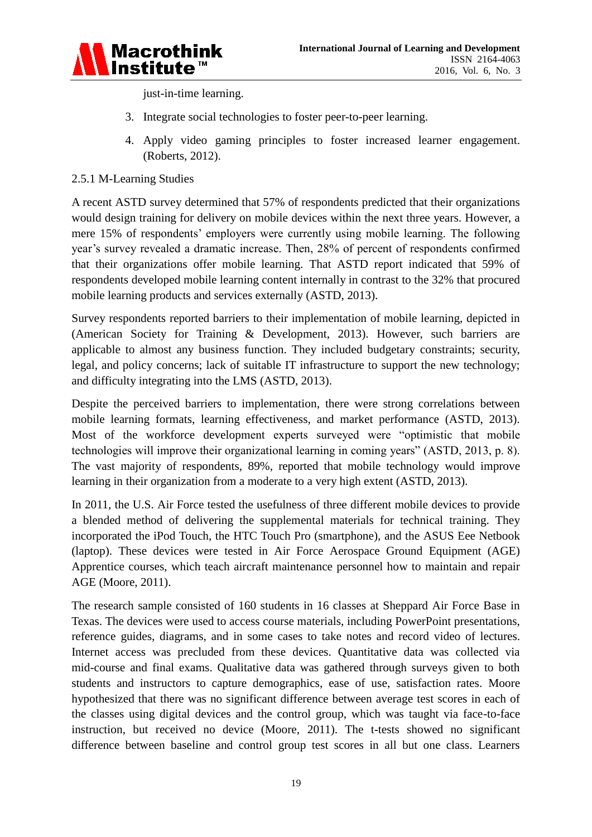

just-in-time learning.

- 3. Integrate social technologies to foster peer-to-peer learning.
- 4. Apply video gaming principles to foster increased learner engagement. (Roberts, 2012).

#### 2.5.1 M-Learning Studies

A recent ASTD survey determined that 57% of respondents predicted that their organizations would design training for delivery on mobile devices within the next three years. However, a mere 15% of respondents' employers were currently using mobile learning. The following year's survey revealed a dramatic increase. Then, 28% of percent of respondents confirmed that their organizations offer mobile learning. That ASTD report indicated that 59% of respondents developed mobile learning content internally in contrast to the 32% that procured mobile learning products and services externally (ASTD, 2013).

Survey respondents reported barriers to their implementation of mobile learning, depicted in (American Society for Training & Development, 2013). However, such barriers are applicable to almost any business function. They included budgetary constraints; security, legal, and policy concerns; lack of suitable IT infrastructure to support the new technology; and difficulty integrating into the LMS (ASTD, 2013).

Despite the perceived barriers to implementation, there were strong correlations between mobile learning formats, learning effectiveness, and market performance (ASTD, 2013). Most of the workforce development experts surveyed were "optimistic that mobile technologies will improve their organizational learning in coming years" (ASTD, 2013, p. 8). The vast majority of respondents, 89%, reported that mobile technology would improve learning in their organization from a moderate to a very high extent (ASTD, 2013).

In 2011, the U.S. Air Force tested the usefulness of three different mobile devices to provide a blended method of delivering the supplemental materials for technical training. They incorporated the iPod Touch, the HTC Touch Pro (smartphone), and the ASUS Eee Netbook (laptop). These devices were tested in Air Force Aerospace Ground Equipment (AGE) Apprentice courses, which teach aircraft maintenance personnel how to maintain and repair AGE (Moore, 2011).

The research sample consisted of 160 students in 16 classes at Sheppard Air Force Base in Texas. The devices were used to access course materials, including PowerPoint presentations, reference guides, diagrams, and in some cases to take notes and record video of lectures. Internet access was precluded from these devices. Quantitative data was collected via mid-course and final exams. Qualitative data was gathered through surveys given to both students and instructors to capture demographics, ease of use, satisfaction rates. Moore hypothesized that there was no significant difference between average test scores in each of the classes using digital devices and the control group, which was taught via face-to-face instruction, but received no device (Moore, 2011). The t-tests showed no significant difference between baseline and control group test scores in all but one class. Learners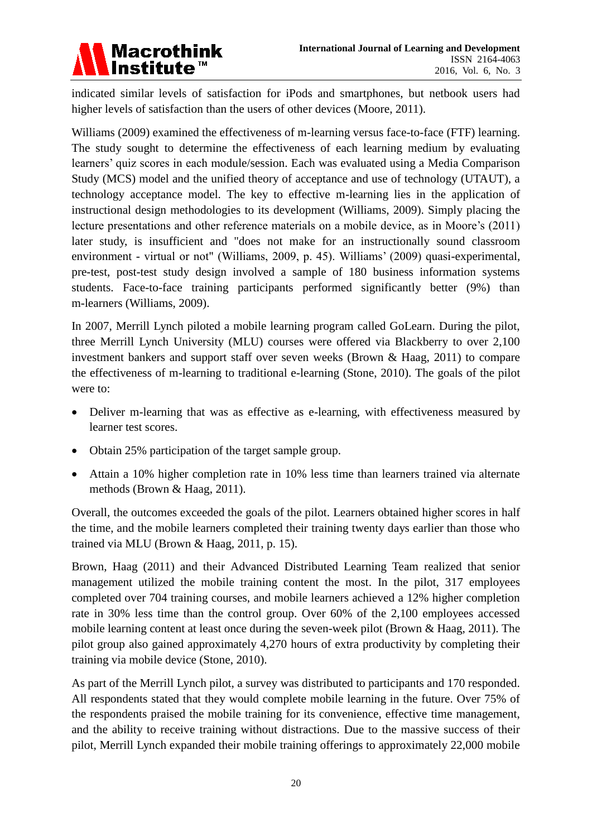

indicated similar levels of satisfaction for iPods and smartphones, but netbook users had higher levels of satisfaction than the users of other devices (Moore, 2011).

Williams (2009) examined the effectiveness of m-learning versus face-to-face (FTF) learning. The study sought to determine the effectiveness of each learning medium by evaluating learners' quiz scores in each module/session. Each was evaluated using a Media Comparison Study (MCS) model and the unified theory of acceptance and use of technology (UTAUT), a technology acceptance model. The key to effective m-learning lies in the application of instructional design methodologies to its development (Williams, 2009). Simply placing the lecture presentations and other reference materials on a mobile device, as in Moore's (2011) later study, is insufficient and "does not make for an instructionally sound classroom environment - virtual or not" (Williams, 2009, p. 45). Williams' (2009) quasi-experimental, pre-test, post-test study design involved a sample of 180 business information systems students. Face-to-face training participants performed significantly better (9%) than m-learners (Williams, 2009).

In 2007, Merrill Lynch piloted a mobile learning program called GoLearn. During the pilot, three Merrill Lynch University (MLU) courses were offered via Blackberry to over 2,100 investment bankers and support staff over seven weeks (Brown & Haag, 2011) to compare the effectiveness of m-learning to traditional e-learning (Stone, 2010). The goals of the pilot were to:

- Deliver m-learning that was as effective as e-learning, with effectiveness measured by learner test scores.
- Obtain 25% participation of the target sample group.
- Attain a 10% higher completion rate in 10% less time than learners trained via alternate methods (Brown & Haag, 2011).

Overall, the outcomes exceeded the goals of the pilot. Learners obtained higher scores in half the time, and the mobile learners completed their training twenty days earlier than those who trained via MLU (Brown & Haag, 2011, p. 15).

Brown, Haag (2011) and their Advanced Distributed Learning Team realized that senior management utilized the mobile training content the most. In the pilot, 317 employees completed over 704 training courses, and mobile learners achieved a 12% higher completion rate in 30% less time than the control group. Over 60% of the 2,100 employees accessed mobile learning content at least once during the seven-week pilot (Brown & Haag, 2011). The pilot group also gained approximately 4,270 hours of extra productivity by completing their training via mobile device (Stone, 2010).

As part of the Merrill Lynch pilot, a survey was distributed to participants and 170 responded. All respondents stated that they would complete mobile learning in the future. Over 75% of the respondents praised the mobile training for its convenience, effective time management, and the ability to receive training without distractions. Due to the massive success of their pilot, Merrill Lynch expanded their mobile training offerings to approximately 22,000 mobile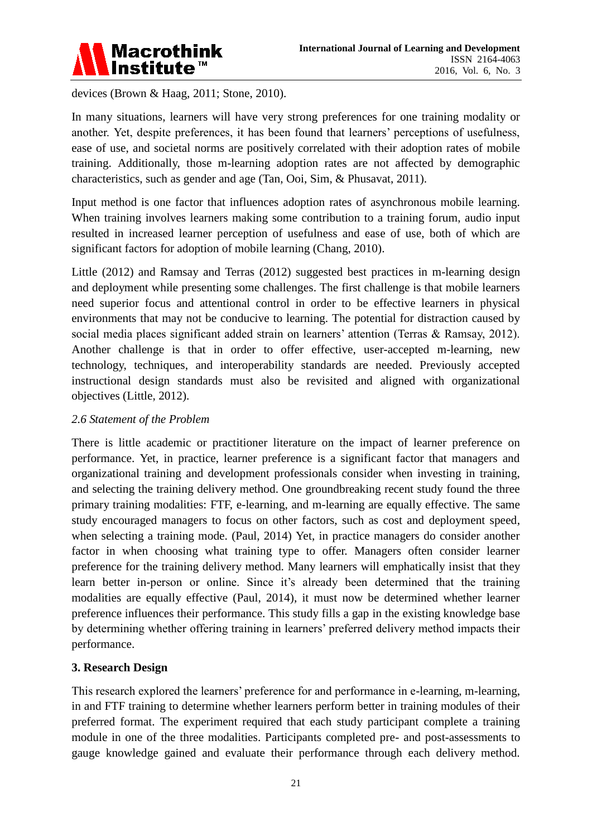

devices (Brown & Haag, 2011; Stone, 2010).

In many situations, learners will have very strong preferences for one training modality or another. Yet, despite preferences, it has been found that learners' perceptions of usefulness, ease of use, and societal norms are positively correlated with their adoption rates of mobile training. Additionally, those m-learning adoption rates are not affected by demographic characteristics, such as gender and age (Tan, Ooi, Sim, & Phusavat, 2011).

Input method is one factor that influences adoption rates of asynchronous mobile learning. When training involves learners making some contribution to a training forum, audio input resulted in increased learner perception of usefulness and ease of use, both of which are significant factors for adoption of mobile learning (Chang, 2010).

Little (2012) and Ramsay and Terras (2012) suggested best practices in m-learning design and deployment while presenting some challenges. The first challenge is that mobile learners need superior focus and attentional control in order to be effective learners in physical environments that may not be conducive to learning. The potential for distraction caused by social media places significant added strain on learners' attention (Terras & Ramsay, 2012). Another challenge is that in order to offer effective, user-accepted m-learning, new technology, techniques, and interoperability standards are needed. Previously accepted instructional design standards must also be revisited and aligned with organizational objectives (Little, 2012).

#### *2.6 Statement of the Problem*

There is little academic or practitioner literature on the impact of learner preference on performance. Yet, in practice, learner preference is a significant factor that managers and organizational training and development professionals consider when investing in training, and selecting the training delivery method. One groundbreaking recent study found the three primary training modalities: FTF, e-learning, and m-learning are equally effective. The same study encouraged managers to focus on other factors, such as cost and deployment speed, when selecting a training mode. (Paul, 2014) Yet, in practice managers do consider another factor in when choosing what training type to offer. Managers often consider learner preference for the training delivery method. Many learners will emphatically insist that they learn better in-person or online. Since it's already been determined that the training modalities are equally effective (Paul, 2014), it must now be determined whether learner preference influences their performance. This study fills a gap in the existing knowledge base by determining whether offering training in learners' preferred delivery method impacts their performance.

#### **3. Research Design**

This research explored the learners' preference for and performance in e-learning, m-learning, in and FTF training to determine whether learners perform better in training modules of their preferred format. The experiment required that each study participant complete a training module in one of the three modalities. Participants completed pre- and post-assessments to gauge knowledge gained and evaluate their performance through each delivery method.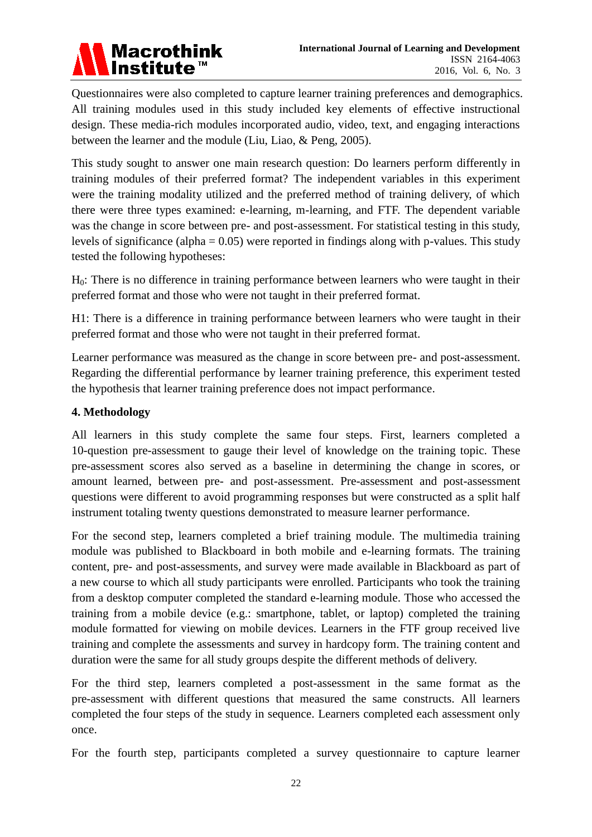

Questionnaires were also completed to capture learner training preferences and demographics. All training modules used in this study included key elements of effective instructional design. These media-rich modules incorporated audio, video, text, and engaging interactions between the learner and the module (Liu, Liao, & Peng, 2005).

This study sought to answer one main research question: Do learners perform differently in training modules of their preferred format? The independent variables in this experiment were the training modality utilized and the preferred method of training delivery, of which there were three types examined: e-learning, m-learning, and FTF. The dependent variable was the change in score between pre- and post-assessment. For statistical testing in this study, levels of significance (alpha  $= 0.05$ ) were reported in findings along with p-values. This study tested the following hypotheses:

 $H<sub>0</sub>$ : There is no difference in training performance between learners who were taught in their preferred format and those who were not taught in their preferred format.

H1: There is a difference in training performance between learners who were taught in their preferred format and those who were not taught in their preferred format.

Learner performance was measured as the change in score between pre- and post-assessment. Regarding the differential performance by learner training preference, this experiment tested the hypothesis that learner training preference does not impact performance.

#### **4. Methodology**

All learners in this study complete the same four steps. First, learners completed a 10-question pre-assessment to gauge their level of knowledge on the training topic. These pre-assessment scores also served as a baseline in determining the change in scores, or amount learned, between pre- and post-assessment. Pre-assessment and post-assessment questions were different to avoid programming responses but were constructed as a split half instrument totaling twenty questions demonstrated to measure learner performance.

For the second step, learners completed a brief training module. The multimedia training module was published to Blackboard in both mobile and e-learning formats. The training content, pre- and post-assessments, and survey were made available in Blackboard as part of a new course to which all study participants were enrolled. Participants who took the training from a desktop computer completed the standard e-learning module. Those who accessed the training from a mobile device (e.g.: smartphone, tablet, or laptop) completed the training module formatted for viewing on mobile devices. Learners in the FTF group received live training and complete the assessments and survey in hardcopy form. The training content and duration were the same for all study groups despite the different methods of delivery.

For the third step, learners completed a post-assessment in the same format as the pre-assessment with different questions that measured the same constructs. All learners completed the four steps of the study in sequence. Learners completed each assessment only once.

For the fourth step, participants completed a survey questionnaire to capture learner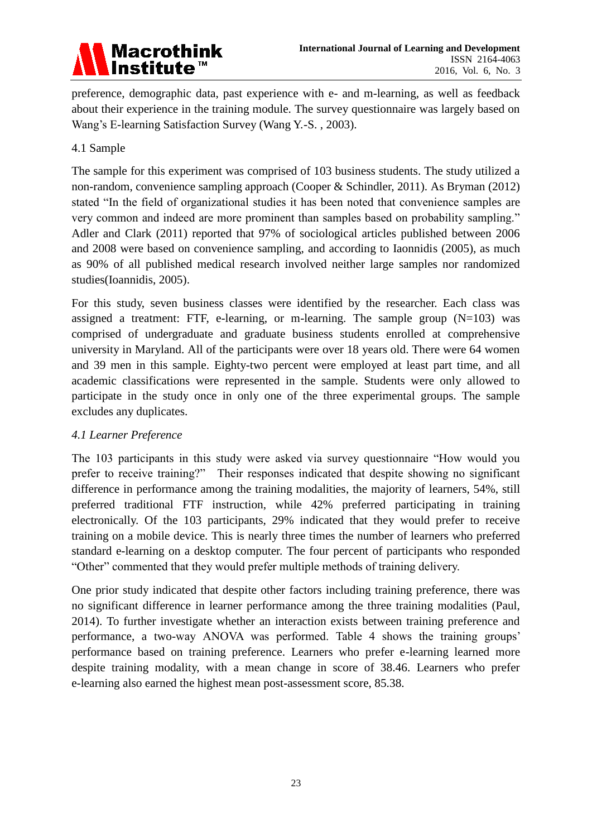# Macrothink<br>Institute™

preference, demographic data, past experience with e- and m-learning, as well as feedback about their experience in the training module. The survey questionnaire was largely based on Wang's E-learning Satisfaction Survey (Wang Y.-S. , 2003).

### 4.1 Sample

The sample for this experiment was comprised of 103 business students. The study utilized a non-random, convenience sampling approach (Cooper & Schindler, 2011). As Bryman (2012) stated "In the field of organizational studies it has been noted that convenience samples are very common and indeed are more prominent than samples based on probability sampling." Adler and Clark (2011) reported that 97% of sociological articles published between 2006 and 2008 were based on convenience sampling, and according to Iaonnidis (2005), as much as 90% of all published medical research involved neither large samples nor randomized studies(Ioannidis, 2005).

For this study, seven business classes were identified by the researcher. Each class was assigned a treatment: FTF, e-learning, or m-learning. The sample group  $(N=103)$  was comprised of undergraduate and graduate business students enrolled at comprehensive university in Maryland. All of the participants were over 18 years old. There were 64 women and 39 men in this sample. Eighty-two percent were employed at least part time, and all academic classifications were represented in the sample. Students were only allowed to participate in the study once in only one of the three experimental groups. The sample excludes any duplicates.

# *4.1 Learner Preference*

The 103 participants in this study were asked via survey questionnaire "How would you prefer to receive training?" Their responses indicated that despite showing no significant difference in performance among the training modalities, the majority of learners, 54%, still preferred traditional FTF instruction, while 42% preferred participating in training electronically. Of the 103 participants, 29% indicated that they would prefer to receive training on a mobile device. This is nearly three times the number of learners who preferred standard e-learning on a desktop computer. The four percent of participants who responded "Other" commented that they would prefer multiple methods of training delivery.

One prior study indicated that despite other factors including training preference, there was no significant difference in learner performance among the three training modalities (Paul, 2014). To further investigate whether an interaction exists between training preference and performance, a two-way ANOVA was performed. Table 4 shows the training groups' performance based on training preference. Learners who prefer e-learning learned more despite training modality, with a mean change in score of 38.46. Learners who prefer e-learning also earned the highest mean post-assessment score, 85.38.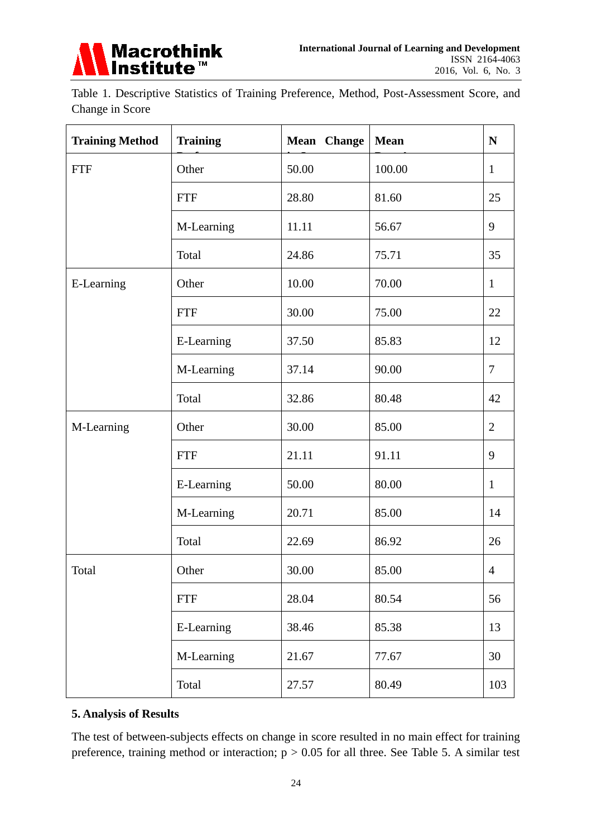

Table 1. Descriptive Statistics of Training Preference, Method, Post-Assessment Score, and Change in Score

| <b>Training Method</b> | <b>Training</b> | <b>Mean</b> Change | <b>Mean</b> | $\mathbf N$    |
|------------------------|-----------------|--------------------|-------------|----------------|
| <b>FTF</b>             | Other           | 50.00              | 100.00      | $\mathbf{1}$   |
|                        | <b>FTF</b>      | 28.80              | 81.60       | 25             |
|                        | M-Learning      | 11.11              | 56.67       | 9              |
|                        | Total           | 24.86              | 75.71       | 35             |
| E-Learning             | Other           | 10.00              | 70.00       | $\mathbf{1}$   |
|                        | <b>FTF</b>      | 30.00              | 75.00       | 22             |
|                        | E-Learning      | 37.50              | 85.83       | 12             |
|                        | M-Learning      | 37.14              | 90.00       | $\overline{7}$ |
|                        | Total           | 32.86              | 80.48       | 42             |
| M-Learning             | Other           | 30.00              | 85.00       | $\overline{2}$ |
|                        | <b>FTF</b>      | 21.11              | 91.11       | 9              |
|                        | E-Learning      | 50.00              | 80.00       | $\mathbf{1}$   |
|                        | M-Learning      | 20.71              | 85.00       | 14             |
|                        | Total           | 22.69              | 86.92       | 26             |
| Total                  | Other           | 30.00              | 85.00       | $\overline{4}$ |
|                        | <b>FTF</b>      | 28.04              | 80.54       | 56             |
|                        | E-Learning      | 38.46              | 85.38       | 13             |
|                        | M-Learning      | 21.67              | 77.67       | 30             |
|                        | Total           | 27.57              | 80.49       | 103            |

#### **5. Analysis of Results**

The test of between-subjects effects on change in score resulted in no main effect for training preference, training method or interaction;  $p > 0.05$  for all three. See Table 5. A similar test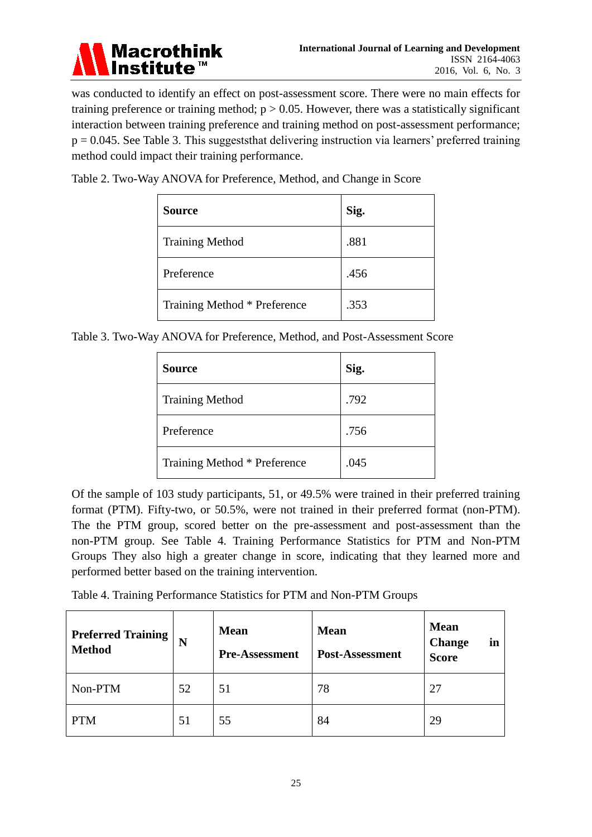

was conducted to identify an effect on post-assessment score. There were no main effects for training preference or training method;  $p > 0.05$ . However, there was a statistically significant interaction between training preference and training method on post-assessment performance;  $p = 0.045$ . See [Table 3.](#page-15-0) This suggests that delivering instruction via learners' preferred training method could impact their training performance.

Table 2. Two-Way ANOVA for Preference, Method, and Change in Score

| <b>Source</b>                | Sig. |
|------------------------------|------|
| <b>Training Method</b>       | .881 |
| Preference                   | .456 |
| Training Method * Preference | .353 |

<span id="page-15-0"></span>Table 3. Two-Way ANOVA for Preference, Method, and Post-Assessment Score

| <b>Source</b>                | Sig. |
|------------------------------|------|
| <b>Training Method</b>       | .792 |
| Preference                   | .756 |
| Training Method * Preference | .045 |

Of the sample of 103 study participants, 51, or 49.5% were trained in their preferred training format (PTM). Fifty-two, or 50.5%, were not trained in their preferred format (non-PTM). The the PTM group, scored better on the pre-assessment and post-assessment than the non-PTM group. See [Table 4. Training Performance Statistics for PTM and Non-PTM](#page-15-1)  [Groups](#page-15-1) They also high a greater change in score, indicating that they learned more and performed better based on the training intervention.

<span id="page-15-1"></span>Table 4. Training Performance Statistics for PTM and Non-PTM Groups

| <b>Preferred Training</b><br><b>Method</b> | N  | <b>Mean</b><br><b>Pre-Assessment</b> | <b>Mean</b><br><b>Post-Assessment</b> | <b>Mean</b><br><b>Change</b><br>in<br><b>Score</b> |
|--------------------------------------------|----|--------------------------------------|---------------------------------------|----------------------------------------------------|
| Non-PTM                                    | 52 | 51                                   | 78                                    | 27                                                 |
| <b>PTM</b>                                 | 51 | 55                                   | 84                                    | 29                                                 |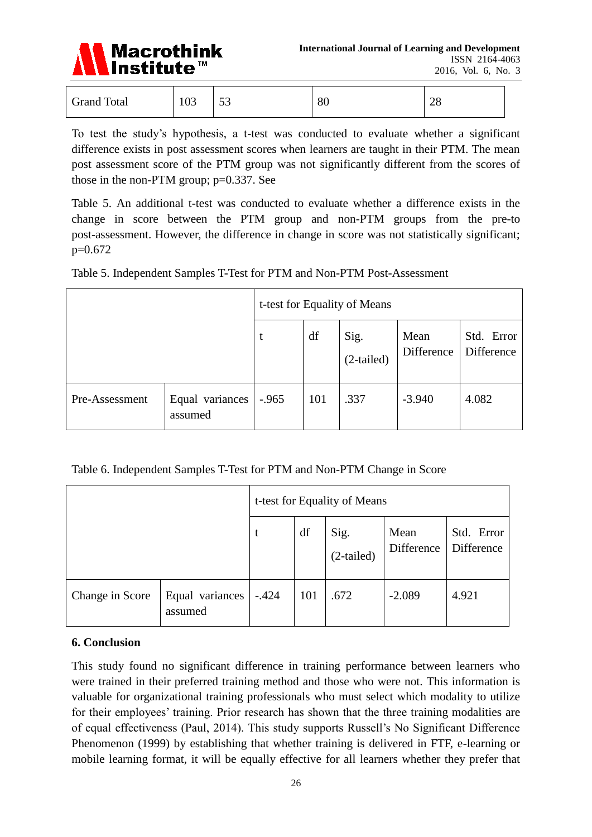

| ∠о<br>ັບ | <b>Grand Total</b> | 102<br>103 | 53 | 80 | ററ |  |
|----------|--------------------|------------|----|----|----|--|
|----------|--------------------|------------|----|----|----|--|

To test the study's hypothesis, a t-test was conducted to evaluate whether a significant difference exists in post assessment scores when learners are taught in their PTM. The mean post assessment score of the PTM group was not significantly different from the scores of those in the non-PTM group; p=0.337. See

[Table 5.](#page-16-0) An additional t-test was conducted to evaluate whether a difference exists in the change in score between the PTM group and non-PTM groups from the pre-to post-assessment. However, the difference in change in score was not statistically significant; p=0.672

<span id="page-16-0"></span>Table 5. Independent Samples T-Test for PTM and Non-PTM Post-Assessment

|                |                            |         |     | t-test for Equality of Means |                    |                          |
|----------------|----------------------------|---------|-----|------------------------------|--------------------|--------------------------|
|                |                            | t       | df  | Sig.<br>$(2-tailed)$         | Mean<br>Difference | Std. Error<br>Difference |
| Pre-Assessment | Equal variances<br>assumed | $-.965$ | 101 | .337                         | $-3.940$           | 4.082                    |

|  |  |  |  |  |  | Table 6. Independent Samples T-Test for PTM and Non-PTM Change in Score |  |
|--|--|--|--|--|--|-------------------------------------------------------------------------|--|
|--|--|--|--|--|--|-------------------------------------------------------------------------|--|

|                 |                            |         |     | t-test for Equality of Means |                    |                          |
|-----------------|----------------------------|---------|-----|------------------------------|--------------------|--------------------------|
|                 |                            | t       | df  | Sig.<br>$(2-tailed)$         | Mean<br>Difference | Std. Error<br>Difference |
| Change in Score | Equal variances<br>assumed | $-.424$ | 101 | .672                         | $-2.089$           | 4.921                    |

#### **6. Conclusion**

This study found no significant difference in training performance between learners who were trained in their preferred training method and those who were not. This information is valuable for organizational training professionals who must select which modality to utilize for their employees' training. Prior research has shown that the three training modalities are of equal effectiveness (Paul, 2014). This study supports Russell's No Significant Difference Phenomenon (1999) by establishing that whether training is delivered in FTF, e-learning or mobile learning format, it will be equally effective for all learners whether they prefer that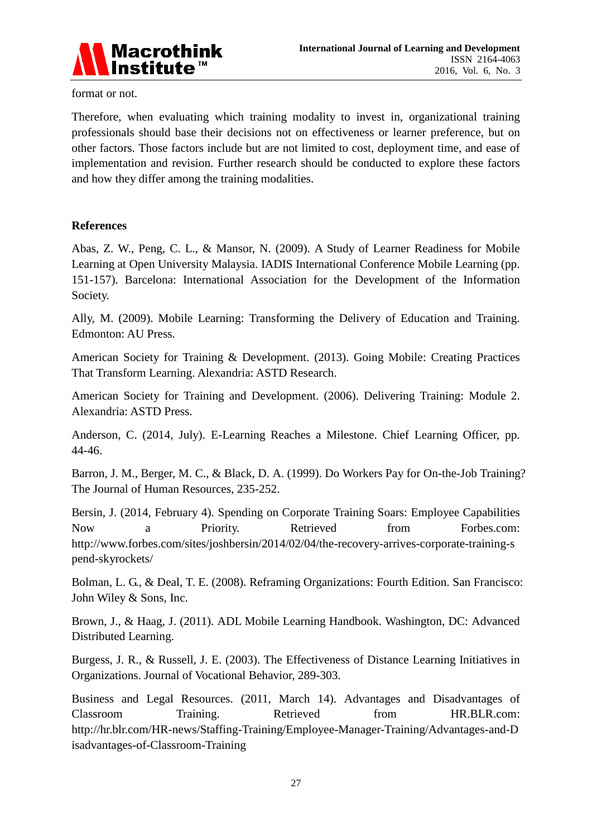

format or not.

Therefore, when evaluating which training modality to invest in, organizational training professionals should base their decisions not on effectiveness or learner preference, but on other factors. Those factors include but are not limited to cost, deployment time, and ease of implementation and revision. Further research should be conducted to explore these factors and how they differ among the training modalities.

#### **References**

Abas, Z. W., Peng, C. L., & Mansor, N. (2009). A Study of Learner Readiness for Mobile Learning at Open University Malaysia. IADIS International Conference Mobile Learning (pp. 151-157). Barcelona: International Association for the Development of the Information Society.

Ally, M. (2009). Mobile Learning: Transforming the Delivery of Education and Training. Edmonton: AU Press.

American Society for Training & Development. (2013). Going Mobile: Creating Practices That Transform Learning. Alexandria: ASTD Research.

American Society for Training and Development. (2006). Delivering Training: Module 2. Alexandria: ASTD Press.

Anderson, C. (2014, July). E-Learning Reaches a Milestone. Chief Learning Officer, pp. 44-46.

Barron, J. M., Berger, M. C., & Black, D. A. (1999). Do Workers Pay for On-the-Job Training? The Journal of Human Resources, 235-252.

Bersin, J. (2014, February 4). Spending on Corporate Training Soars: Employee Capabilities Now a Priority. Retrieved from Forbes.com: http://www.forbes.com/sites/joshbersin/2014/02/04/the-recovery-arrives-corporate-training-s pend-skyrockets/

Bolman, L. G., & Deal, T. E. (2008). Reframing Organizations: Fourth Edition. San Francisco: John Wiley & Sons, Inc.

Brown, J., & Haag, J. (2011). ADL Mobile Learning Handbook. Washington, DC: Advanced Distributed Learning.

Burgess, J. R., & Russell, J. E. (2003). The Effectiveness of Distance Learning Initiatives in Organizations. Journal of Vocational Behavior, 289-303.

Business and Legal Resources. (2011, March 14). Advantages and Disadvantages of Classroom Training. Retrieved from HR.BLR.com: http://hr.blr.com/HR-news/Staffing-Training/Employee-Manager-Training/Advantages-and-D isadvantages-of-Classroom-Training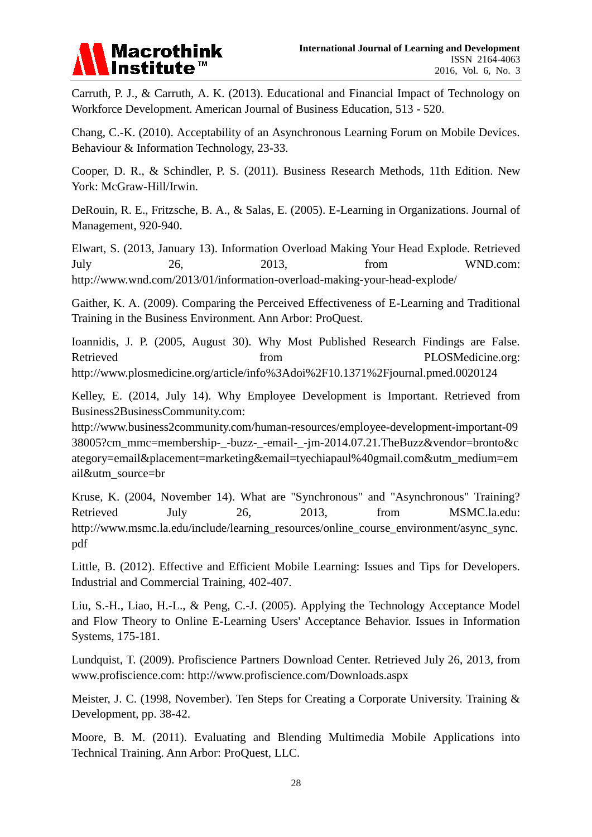

Carruth, P. J., & Carruth, A. K. (2013). Educational and Financial Impact of Technology on Workforce Development. American Journal of Business Education, 513 - 520.

Chang, C.-K. (2010). Acceptability of an Asynchronous Learning Forum on Mobile Devices. Behaviour & Information Technology, 23-33.

Cooper, D. R., & Schindler, P. S. (2011). Business Research Methods, 11th Edition. New York: McGraw-Hill/Irwin.

DeRouin, R. E., Fritzsche, B. A., & Salas, E. (2005). E-Learning in Organizations. Journal of Management, 920-940.

Elwart, S. (2013, January 13). Information Overload Making Your Head Explode. Retrieved July 26, 2013, from WND.com: http://www.wnd.com/2013/01/information-overload-making-your-head-explode/

Gaither, K. A. (2009). Comparing the Perceived Effectiveness of E-Learning and Traditional Training in the Business Environment. Ann Arbor: ProQuest.

Ioannidis, J. P. (2005, August 30). Why Most Published Research Findings are False. Retrieved from FLOSMedicine.org: http://www.plosmedicine.org/article/info%3Adoi%2F10.1371%2Fjournal.pmed.0020124

Kelley, E. (2014, July 14). Why Employee Development is Important. Retrieved from Business2BusinessCommunity.com:

http://www.business2community.com/human-resources/employee-development-important-09 38005?cm\_mmc=membership-\_-buzz-\_-email-\_-jm-2014.07.21.TheBuzz&vendor=bronto&c ategory=email&placement=marketing&email=tyechiapaul%40gmail.com&utm\_medium=em ail&utm\_source=br

Kruse, K. (2004, November 14). What are "Synchronous" and "Asynchronous" Training? Retrieved July 26, 2013, from MSMC.la.edu: http://www.msmc.la.edu/include/learning\_resources/online\_course\_environment/async\_sync. pdf

Little, B. (2012). Effective and Efficient Mobile Learning: Issues and Tips for Developers. Industrial and Commercial Training, 402-407.

Liu, S.-H., Liao, H.-L., & Peng, C.-J. (2005). Applying the Technology Acceptance Model and Flow Theory to Online E-Learning Users' Acceptance Behavior. Issues in Information Systems, 175-181.

Lundquist, T. (2009). Profiscience Partners Download Center. Retrieved July 26, 2013, from www.profiscience.com: http://www.profiscience.com/Downloads.aspx

Meister, J. C. (1998, November). Ten Steps for Creating a Corporate University. Training & Development, pp. 38-42.

Moore, B. M. (2011). Evaluating and Blending Multimedia Mobile Applications into Technical Training. Ann Arbor: ProQuest, LLC.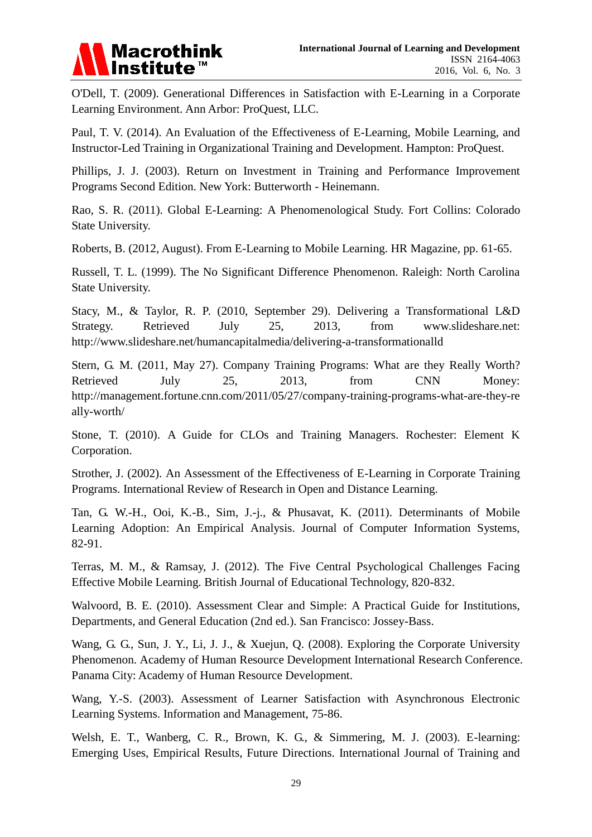

O'Dell, T. (2009). Generational Differences in Satisfaction with E-Learning in a Corporate Learning Environment. Ann Arbor: ProQuest, LLC.

Paul, T. V. (2014). An Evaluation of the Effectiveness of E-Learning, Mobile Learning, and Instructor-Led Training in Organizational Training and Development. Hampton: ProQuest.

Phillips, J. J. (2003). Return on Investment in Training and Performance Improvement Programs Second Edition. New York: Butterworth - Heinemann.

Rao, S. R. (2011). Global E-Learning: A Phenomenological Study. Fort Collins: Colorado State University.

Roberts, B. (2012, August). From E-Learning to Mobile Learning. HR Magazine, pp. 61-65.

Russell, T. L. (1999). The No Significant Difference Phenomenon. Raleigh: North Carolina State University.

Stacy, M., & Taylor, R. P. (2010, September 29). Delivering a Transformational L&D Strategy. Retrieved July 25, 2013, from www.slideshare.net: http://www.slideshare.net/humancapitalmedia/delivering-a-transformationalld

Stern, G. M. (2011, May 27). Company Training Programs: What are they Really Worth? Retrieved July 25, 2013, from CNN Money: http://management.fortune.cnn.com/2011/05/27/company-training-programs-what-are-they-re ally-worth/

Stone, T. (2010). A Guide for CLOs and Training Managers. Rochester: Element K Corporation.

Strother, J. (2002). An Assessment of the Effectiveness of E-Learning in Corporate Training Programs. International Review of Research in Open and Distance Learning.

Tan, G. W.-H., Ooi, K.-B., Sim, J.-j., & Phusavat, K. (2011). Determinants of Mobile Learning Adoption: An Empirical Analysis. Journal of Computer Information Systems, 82-91.

Terras, M. M., & Ramsay, J. (2012). The Five Central Psychological Challenges Facing Effective Mobile Learning. British Journal of Educational Technology, 820-832.

Walvoord, B. E. (2010). Assessment Clear and Simple: A Practical Guide for Institutions, Departments, and General Education (2nd ed.). San Francisco: Jossey-Bass.

Wang, G. G., Sun, J. Y., Li, J. J., & Xuejun, Q. (2008). Exploring the Corporate University Phenomenon. Academy of Human Resource Development International Research Conference. Panama City: Academy of Human Resource Development.

Wang, Y.-S. (2003). Assessment of Learner Satisfaction with Asynchronous Electronic Learning Systems. Information and Management, 75-86.

Welsh, E. T., Wanberg, C. R., Brown, K. G., & Simmering, M. J. (2003). E-learning: Emerging Uses, Empirical Results, Future Directions. International Journal of Training and